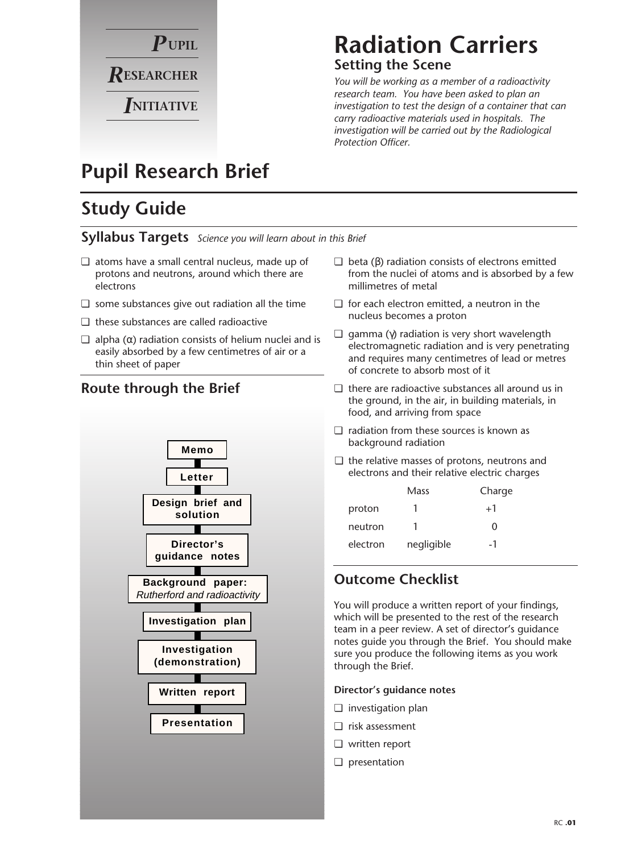

### **Radiation Carriers Setting the Scene**

*You will be working as a member of a radioactivity research team. You have been asked to plan an investigation to test the design of a container that can carry radioactive materials used in hospitals. The investigation will be carried out by the Radiological Protection Officer.* 

# **Pupil Research Brief**

# **Study Guide**

### **Syllabus Targets** *Science you will learn about in this Brief*

- ❏ atoms have a small central nucleus, made up of protons and neutrons, around which there are electrons
- ❏ some substances give out radiation all the time
- ❏ these substances are called radioactive
- $\Box$  alpha (α) radiation consists of helium nuclei and is easily absorbed by a few centimetres of air or a thin sheet of paper



- $\Box$  beta (β) radiation consists of electrons emitted from the nuclei of atoms and is absorbed by a few millimetres of metal
- ❏ for each electron emitted, a neutron in the nucleus becomes a proton
- $\Box$  gamma (γ) radiation is very short wavelength electromagnetic radiation and is very penetrating and requires many centimetres of lead or metres of concrete to absorb most of it
- ❏ there are radioactive substances all around us in the ground, in the air, in building materials, in food, and arriving from space
- ❏ radiation from these sources is known as background radiation
- ❏ the relative masses of protons, neutrons and electrons and their relative electric charges

|          | Mass       | Charge |
|----------|------------|--------|
| proton   |            | $+1$   |
| neutron  |            | 0      |
| electron | negligible | -1     |

### **Outcome Checklist**

You will produce a written report of your findings, which will be presented to the rest of the research team in a peer review. A set of director's guidance notes guide you through the Brief. You should make sure you produce the following items as you work through the Brief.

#### **Director's guidance notes**

- ❏ investigation plan
- ❏ risk assessment
- ❏ written report
- ❏ presentation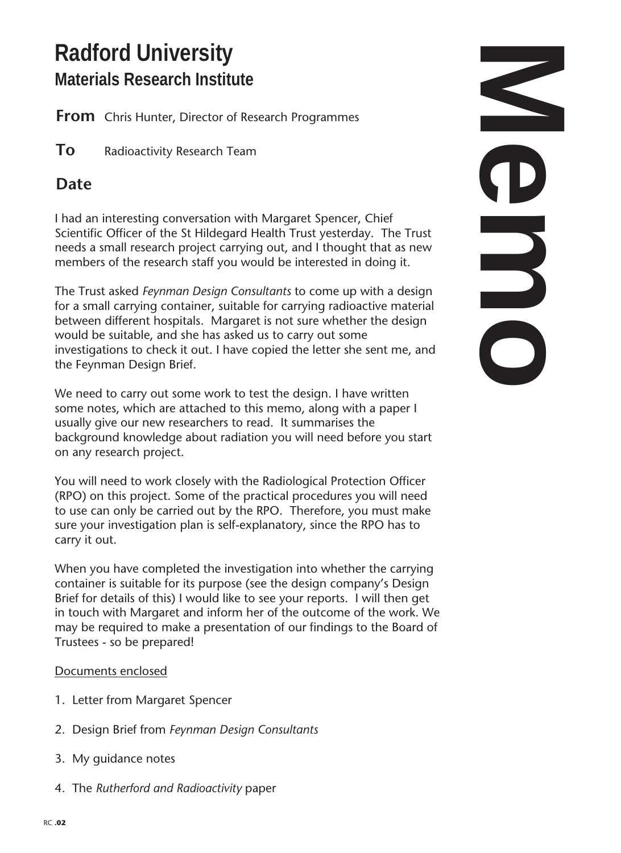# **Radford University Materials Research Institute**

**From** Chris Hunter, Director of Research Programmes

**To** Radioactivity Research Team

## **Date**

I had an interesting conversation with Margaret Spencer, Chief Scientific Officer of the St Hildegard Health Trust yesterday. The Trust needs a small research project carrying out, and I thought that as new members of the research staff you would be interested in doing it.

The Trust asked *Feynman Design Consultants* to come up with a design for a small carrying container, suitable for carrying radioactive material between different hospitals. Margaret is not sure whether the design would be suitable, and she has asked us to carry out some investigations to check it out. I have copied the letter she sent me, and the Feynman Design Brief.

We need to carry out some work to test the design. I have written some notes, which are attached to this memo, along with a paper I usually give our new researchers to read. It summarises the background knowledge about radiation you will need before you start on any research project.

You will need to work closely with the Radiological Protection Officer (RPO) on this project. Some of the practical procedures you will need to use can only be carried out by the RPO. Therefore, you must make sure your investigation plan is self-explanatory, since the RPO has to carry it out.

When you have completed the investigation into whether the carrying container is suitable for its purpose (see the design company's Design Brief for details of this) I would like to see your reports. I will then get in touch with Margaret and inform her of the outcome of the work. We may be required to make a presentation of our findings to the Board of Trustees - so be prepared!

### Documents enclosed

- 1. Letter from Margaret Spencer
- 2. Design Brief from *Feynman Design Consultants*
- 3. My guidance notes
- 4. The *Rutherford and Radioactivity* paper

**Memories**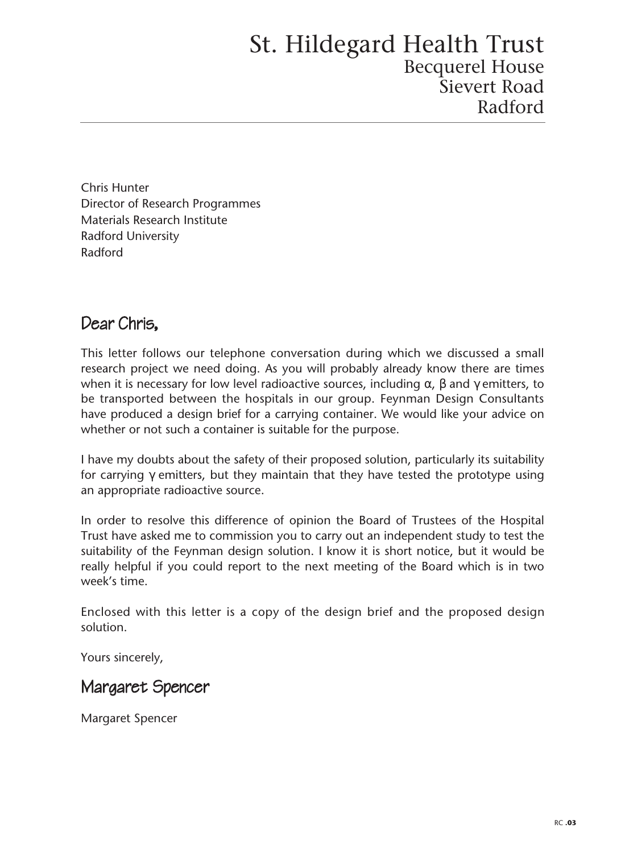Chris Hunter Director of Research Programmes Materials Research Institute Radford University Radford

### Dear Chris,

This letter follows our telephone conversation during which we discussed a small research project we need doing. As you will probably already know there are times when it is necessary for low level radioactive sources, including  $\alpha$ ,  $\beta$  and  $\gamma$  emitters, to be transported between the hospitals in our group. Feynman Design Consultants have produced a design brief for a carrying container. We would like your advice on whether or not such a container is suitable for the purpose.

I have my doubts about the safety of their proposed solution, particularly its suitability for carrying γ emitters, but they maintain that they have tested the prototype using an appropriate radioactive source.

In order to resolve this difference of opinion the Board of Trustees of the Hospital Trust have asked me to commission you to carry out an independent study to test the suitability of the Feynman design solution. I know it is short notice, but it would be really helpful if you could report to the next meeting of the Board which is in two week's time.

Enclosed with this letter is a copy of the design brief and the proposed design solution.

Yours sincerely,

### Margaret Spencer

Margaret Spencer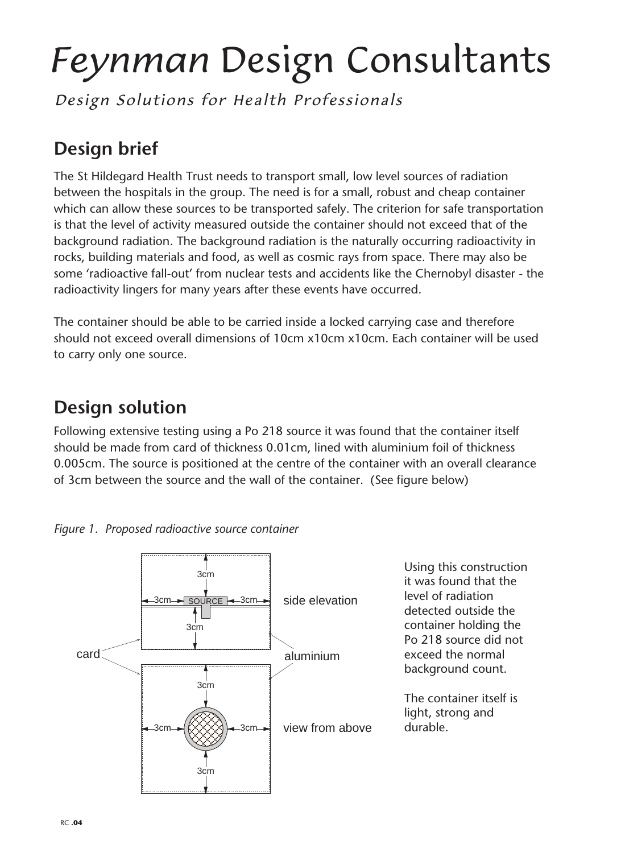# *Feynman* Design Consultants

Design Solutions for Health Professionals

# **Design brief**

The St Hildegard Health Trust needs to transport small, low level sources of radiation between the hospitals in the group. The need is for a small, robust and cheap container which can allow these sources to be transported safely. The criterion for safe transportation is that the level of activity measured outside the container should not exceed that of the background radiation. The background radiation is the naturally occurring radioactivity in rocks, building materials and food, as well as cosmic rays from space. There may also be some 'radioactive fall-out' from nuclear tests and accidents like the Chernobyl disaster - the radioactivity lingers for many years after these events have occurred.

The container should be able to be carried inside a locked carrying case and therefore should not exceed overall dimensions of 10cm x10cm x10cm. Each container will be used to carry only one source.

# **Design solution**

Following extensive testing using a Po 218 source it was found that the container itself should be made from card of thickness 0.01cm, lined with aluminium foil of thickness 0.005cm. The source is positioned at the centre of the container with an overall clearance of 3cm between the source and the wall of the container. (See figure below)





Using this construction it was found that the level of radiation detected outside the container holding the Po 218 source did not exceed the normal background count.

The container itself is light, strong and durable.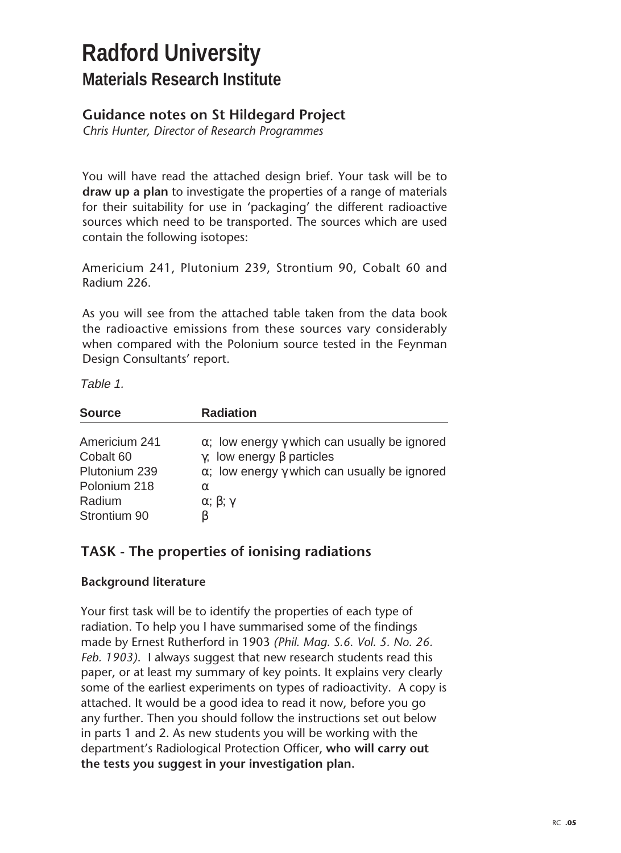# **Radford University Materials Research Institute**

### **Guidance notes on St Hildegard Project**

*Chris Hunter, Director of Research Programmes*

You will have read the attached design brief. Your task will be to **draw up a plan** to investigate the properties of a range of materials for their suitability for use in 'packaging' the different radioactive sources which need to be transported. The sources which are used contain the following isotopes:

Americium 241, Plutonium 239, Strontium 90, Cobalt 60 and Radium 226.

As you will see from the attached table taken from the data book the radioactive emissions from these sources vary considerably when compared with the Polonium source tested in the Feynman Design Consultants' report.

Table 1.

| <b>Source</b> | <b>Radiation</b>                                            |
|---------------|-------------------------------------------------------------|
| Americium 241 | $\alpha$ ; low energy $\gamma$ which can usually be ignored |
| Cobalt 60     | $\gamma$ ; low energy $\beta$ particles                     |
| Plutonium 239 | $\alpha$ ; low energy $\gamma$ which can usually be ignored |
| Polonium 218  | $\alpha$                                                    |
| Radium        | $\alpha$ ; $\beta$ ; $\gamma$                               |
| Strontium 90  |                                                             |

### **TASK - The properties of ionising radiations**

### **Background literature**

Your first task will be to identify the properties of each type of radiation. To help you I have summarised some of the findings made by Ernest Rutherford in 1903 *(Phil. Mag. S.6. Vol. 5. No. 26. Feb. 1903)*. I always suggest that new research students read this paper, or at least my summary of key points. It explains very clearly some of the earliest experiments on types of radioactivity. A copy is attached. It would be a good idea to read it now, before you go any further. Then you should follow the instructions set out below in parts 1 and 2. As new students you will be working with the department's Radiological Protection Officer, **who will carry out the tests you suggest in your investigation plan.**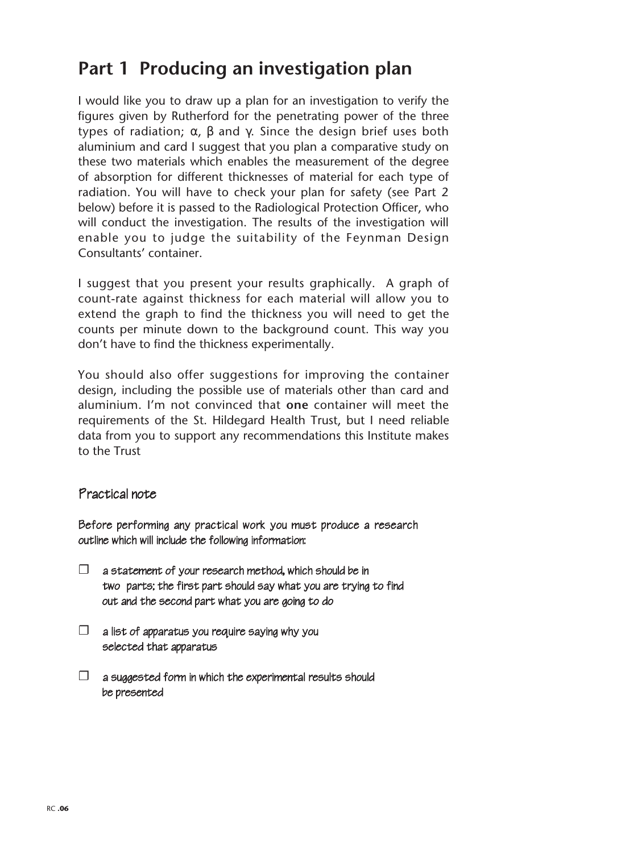# **Part 1 Producing an investigation plan**

I would like you to draw up a plan for an investigation to verify the figures given by Rutherford for the penetrating power of the three types of radiation;  $\alpha$ ,  $\beta$  and  $\gamma$ . Since the design brief uses both aluminium and card I suggest that you plan a comparative study on these two materials which enables the measurement of the degree of absorption for different thicknesses of material for each type of radiation. You will have to check your plan for safety (see Part 2 below) before it is passed to the Radiological Protection Officer, who will conduct the investigation. The results of the investigation will enable you to judge the suitability of the Feynman Design Consultants' container.

I suggest that you present your results graphically. A graph of count-rate against thickness for each material will allow you to extend the graph to find the thickness you will need to get the counts per minute down to the background count. This way you don't have to find the thickness experimentally.

You should also offer suggestions for improving the container design, including the possible use of materials other than card and aluminium. I'm not convinced that **one** container will meet the requirements of the St. Hildegard Health Trust, but I need reliable data from you to support any recommendations this Institute makes to the Trust

### Practical note

Before performing any practical work you must produce a research outline which will include the following information:

- $\Box$  a statement of your research method, which should be in two parts; the first part should say what you are trying to find out and the second part what you are going to do
- $\square$  a list of apparatus you require saying why you selected that apparatus
- $\square$  a suggested form in which the experimental results should be presented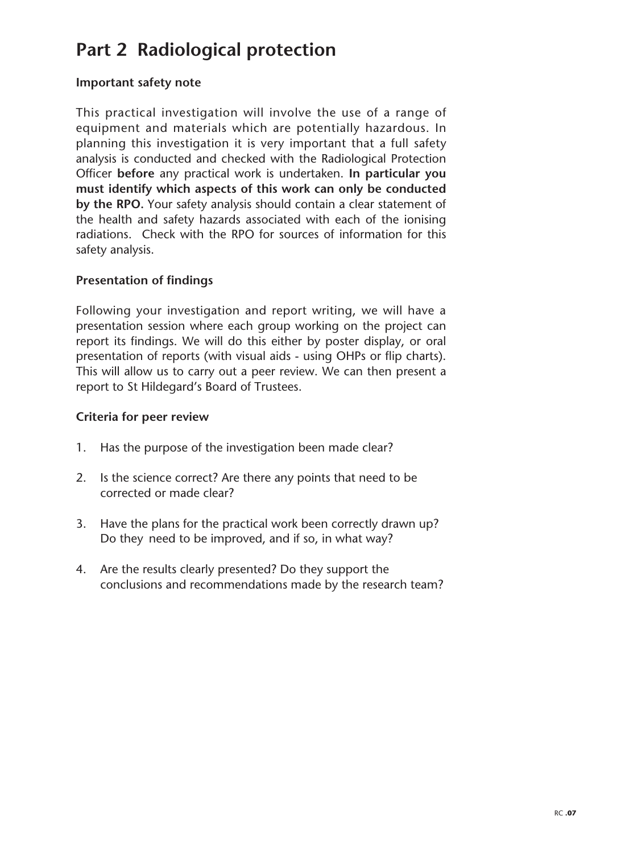# **Part 2 Radiological protection**

### **Important safety note**

This practical investigation will involve the use of a range of equipment and materials which are potentially hazardous. In planning this investigation it is very important that a full safety analysis is conducted and checked with the Radiological Protection Officer **before** any practical work is undertaken. **In particular you must identify which aspects of this work can only be conducted by the RPO.** Your safety analysis should contain a clear statement of the health and safety hazards associated with each of the ionising radiations. Check with the RPO for sources of information for this safety analysis.

### **Presentation of findings**

Following your investigation and report writing, we will have a presentation session where each group working on the project can report its findings. We will do this either by poster display, or oral presentation of reports (with visual aids - using OHPs or flip charts). This will allow us to carry out a peer review. We can then present a report to St Hildegard's Board of Trustees.

### **Criteria for peer review**

- 1. Has the purpose of the investigation been made clear?
- 2. Is the science correct? Are there any points that need to be corrected or made clear?
- 3. Have the plans for the practical work been correctly drawn up? Do they need to be improved, and if so, in what way?
- 4. Are the results clearly presented? Do they support the conclusions and recommendations made by the research team?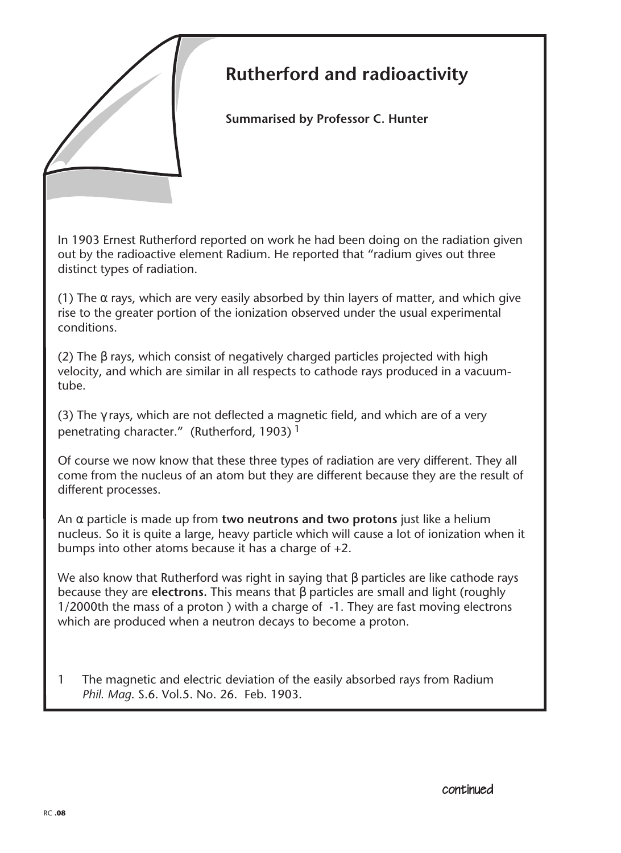

# **Rutherford and radioactivity**

**Summarised by Professor C. Hunter**

In 1903 Ernest Rutherford reported on work he had been doing on the radiation given out by the radioactive element Radium. He reported that "radium gives out three distinct types of radiation.

(1) The  $\alpha$  rays, which are very easily absorbed by thin layers of matter, and which give rise to the greater portion of the ionization observed under the usual experimental conditions.

(2) The β rays, which consist of negatively charged particles projected with high velocity, and which are similar in all respects to cathode rays produced in a vacuumtube.

(3) The  $\gamma$  rays, which are not deflected a magnetic field, and which are of a very penetrating character." (Rutherford, 1903) 1

Of course we now know that these three types of radiation are very different. They all come from the nucleus of an atom but they are different because they are the result of different processes.

An α particle is made up from **two neutrons and two protons** just like a helium nucleus. So it is quite a large, heavy particle which will cause a lot of ionization when it bumps into other atoms because it has a charge of +2.

We also know that Rutherford was right in saying that β particles are like cathode rays because they are **electrons.** This means that β particles are small and light (roughly 1/2000th the mass of a proton ) with a charge of -1. They are fast moving electrons which are produced when a neutron decays to become a proton.

1 The magnetic and electric deviation of the easily absorbed rays from Radium *Phil. Mag*. S.6. Vol.5. No. 26. Feb. 1903.